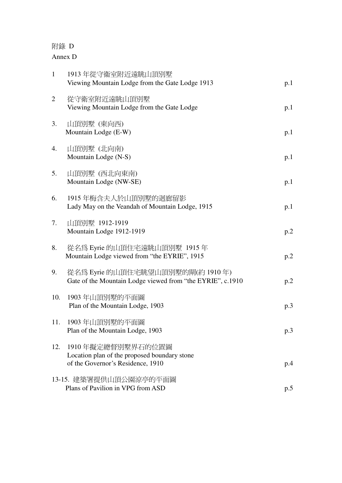## 附錄 D

## Annex D

| $\mathbf{1}$ | 1913年從守衞室附近遠眺山頂別墅<br>Viewing Mountain Lodge from the Gate Lodge 1913                                   | p.1 |
|--------------|--------------------------------------------------------------------------------------------------------|-----|
| 2            | 從守衛室附近遠眺山頂別墅<br>Viewing Mountain Lodge from the Gate Lodge                                             | p.1 |
| 3.           | 山頂別墅 (東向西)<br>Mountain Lodge (E-W)                                                                     | p.1 |
| 4.           | 山頂別墅 (北向南)<br>Mountain Lodge (N-S)                                                                     | p.1 |
| 5.           | 山頂別墅 (西北向東南)<br>Mountain Lodge (NW-SE)                                                                 | p.1 |
| 6.           | 1915 年梅含夫人於山頂別墅的迴廊留影<br>Lady May on the Veandah of Mountain Lodge, 1915                                | p.1 |
| 7.           | 山頂別墅 1912-1919<br>Mountain Lodge 1912-1919                                                             | p.2 |
| 8.           | 從名爲 Eyrie 的山頂住宅遠眺山頂別墅 1915年<br>Mountain Lodge viewed from "the EYRIE", 1915                            | p.2 |
| 9.           | 從名爲 Eyrie 的山頂住宅眺望山頂別墅的閘(約 1910 年)<br>Gate of the Mountain Lodge viewed from "the EYRIE", c.1910        | p.2 |
| 10.          | 1903 年山頂別墅的平面圖<br>Plan of the Mountain Lodge, 1903                                                     | p.3 |
|              | 11. 1903年山頂別墅的平面圖<br>Plan of the Mountain Lodge, 1903                                                  | p.3 |
| 12.          | 1910年擬定總督別墅界石的位置圖<br>Location plan of the proposed boundary stone<br>of the Governor's Residence, 1910 | p.4 |
|              | 13-15. 建築署提供山頂公園涼亭的平面圖<br>Plans of Pavilion in VPG from ASD                                            | p.5 |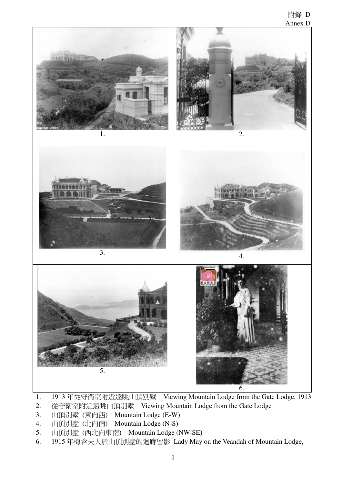

- 1. 1913 年從守衛室附近遠眺山頂別墅 Viewing Mountain Lodge from the Gate Lodge, 1913
- 2. 從守衛室附近遠眺山頂別墅 Viewing Mountain Lodge from the Gate Lodge
- 3. 山頂別墅 (東向西) Mountain Lodge (E-W)
- 4. 山頂別墅 (北向南) Mountain Lodge (N-S)
- 5. 山頂別墅 (西北向東南) Mountain Lodge (NW-SE)
- 6. 1915 年梅含夫人於山頂別墅的迴廊留影 Lady May on the Veandah of Mountain Lodge,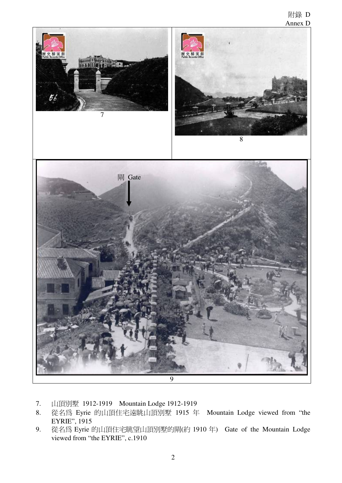## 附錄 D Annex D



- 7. 山頂別墅 1912-1919 Mountain Lodge 1912-1919
- 8. 從名為 Eyrie 的山頂住宅遠眺山頂別墅 1915 年 Mountain Lodge viewed from "the EYRIE", 1915
- 9. 從名為 Eyrie 的山頂住宅眺望山頂別墅的閘(約 1910 年) Gate of the Mountain Lodge viewed from "the EYRIE", c.1910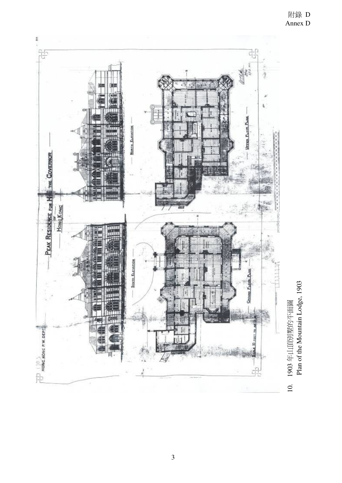

1903年山頂別墅的平面圖<br>Plan of the Mountain Lodge, 1903 Plan of the Mountain Lodge, 1903 10. 1903 年山頂別墅的平面圖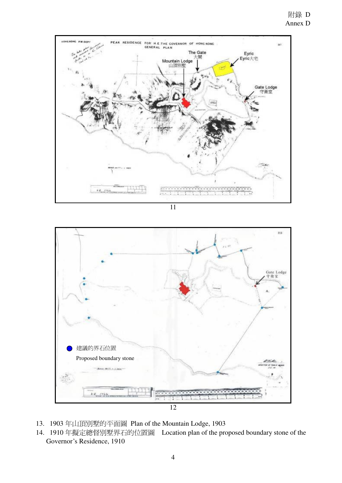

11



- 13. 1903 年山頂別墅的平面圖 Plan of the Mountain Lodge, 1903
- 14. 1910 年擬定總督別墅界石的位置圖 Location plan of the proposed boundary stone of the Governor's Residence, 1910